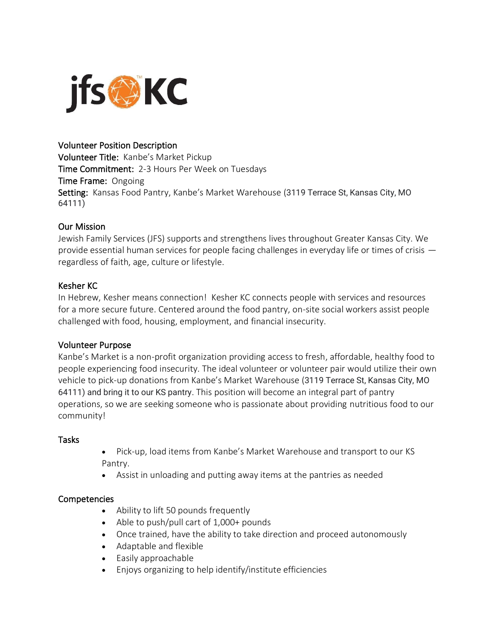

#### Volunteer Position Description

Volunteer Title: Kanbe's Market Pickup Time Commitment: 2-3 Hours Per Week on Tuesdays Time Frame: Ongoing Setting: Kansas Food Pantry, Kanbe's Market Warehouse (3119 Terrace St, Kansas City, MO 64111)

#### Our Mission

Jewish Family Services (JFS) supports and strengthens lives throughout Greater Kansas City. We provide essential human services for people facing challenges in everyday life or times of crisis regardless of faith, age, culture or lifestyle.

# Kesher KC

In Hebrew, Kesher means connection! Kesher KC connects people with services and resources for a more secure future. Centered around the food pantry, on-site social workers assist people challenged with food, housing, employment, and financial insecurity.

#### Volunteer Purpose

Kanbe's Market is a non-profit organization providing access to fresh, affordable, healthy food to people experiencing food insecurity. The ideal volunteer or volunteer pair would utilize their own vehicle to pick-up donations from Kanbe's Market Warehouse (3119 Terrace St, Kansas City, MO 64111) and bring it to our KS pantry. This position will become an integral part of pantry operations, so we are seeking someone who is passionate about providing nutritious food to our community!

#### Tasks

- Pick-up, load items from Kanbe's Market Warehouse and transport to our KS Pantry.
- Assist in unloading and putting away items at the pantries as needed

#### Competencies

- Ability to lift 50 pounds frequently
- Able to push/pull cart of 1,000+ pounds
- Once trained, have the ability to take direction and proceed autonomously
- Adaptable and flexible
- Easily approachable
- Enjoys organizing to help identify/institute efficiencies